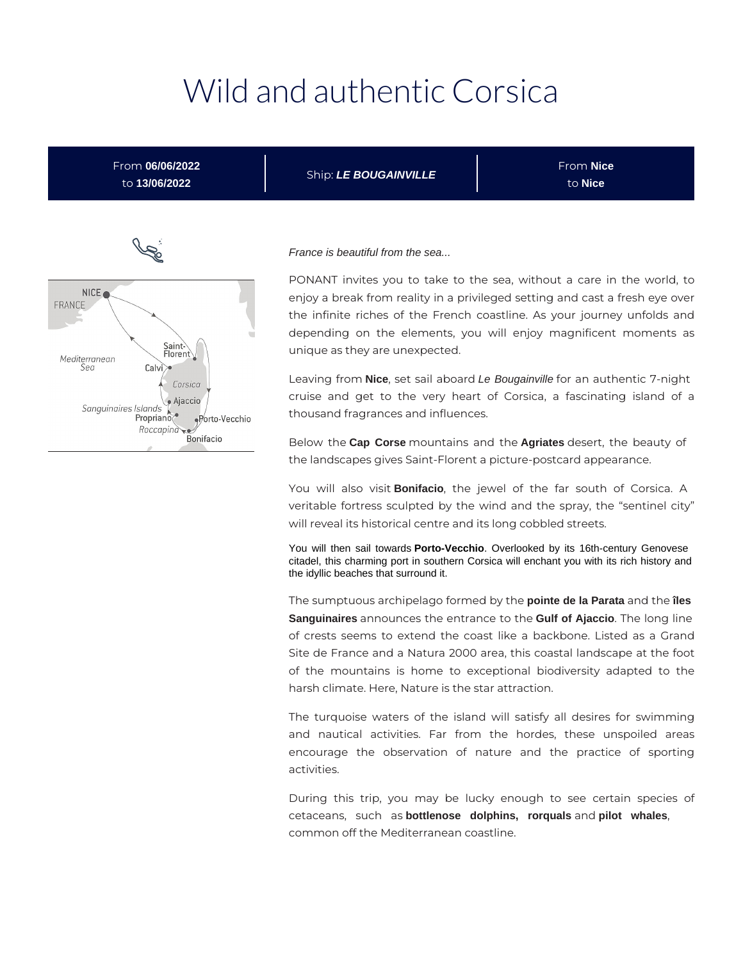# Wild and authentic Corsica

From **06/06/2022** to **13/06/2022**

Ship: **LE BOUGAINVILLE**

From **Nice** to **Nice**



#### France is beautiful from the sea...

PONANT invites you to take to the sea, without a care in the world, to enjoy a break from reality in a privileged setting and cast a fresh eye over the infinite riches of the French coastline. As your journey unfolds and depending on the elements, you will enjoy magnificent moments as unique as they are unexpected.

Leaving from **Nice**, set sail aboard Le Bougainville for an authentic 7-night cruise and get to the very heart of Corsica, a fascinating island of a thousand fragrances and influences.

Below the **Cap Corse** mountains and the **Agriates** desert, the beauty of the landscapes gives Saint-Florent a picture-postcard appearance.

You will also visit **Bonifacio**, the jewel of the far south of Corsica. A veritable fortress sculpted by the wind and the spray, the "sentinel city" will reveal its historical centre and its long cobbled streets.

You will then sail towards **Porto-Vecchio**. Overlooked by its 16th-century Genovese citadel, this charming port in southern Corsica will enchant you with its rich history and the idyllic beaches that surround it.

The sumptuous archipelago formed by the **pointe de la Parata** and the **îles Sanguinaires** announces the entrance to the **Gulf of Ajaccio**. The long line of crests seems to extend the coast like a backbone. Listed as a Grand Site de France and a Natura 2000 area, this coastal landscape at the foot of the mountains is home to exceptional biodiversity adapted to the harsh climate. Here, Nature is the star attraction.

The turquoise waters of the island will satisfy all desires for swimming and nautical activities. Far from the hordes, these unspoiled areas encourage the observation of nature and the practice of sporting activities.

During this trip, you may be lucky enough to see certain species of cetaceans, such as **bottlenose dolphins, rorquals** and **pilot whales**, common off the Mediterranean coastline.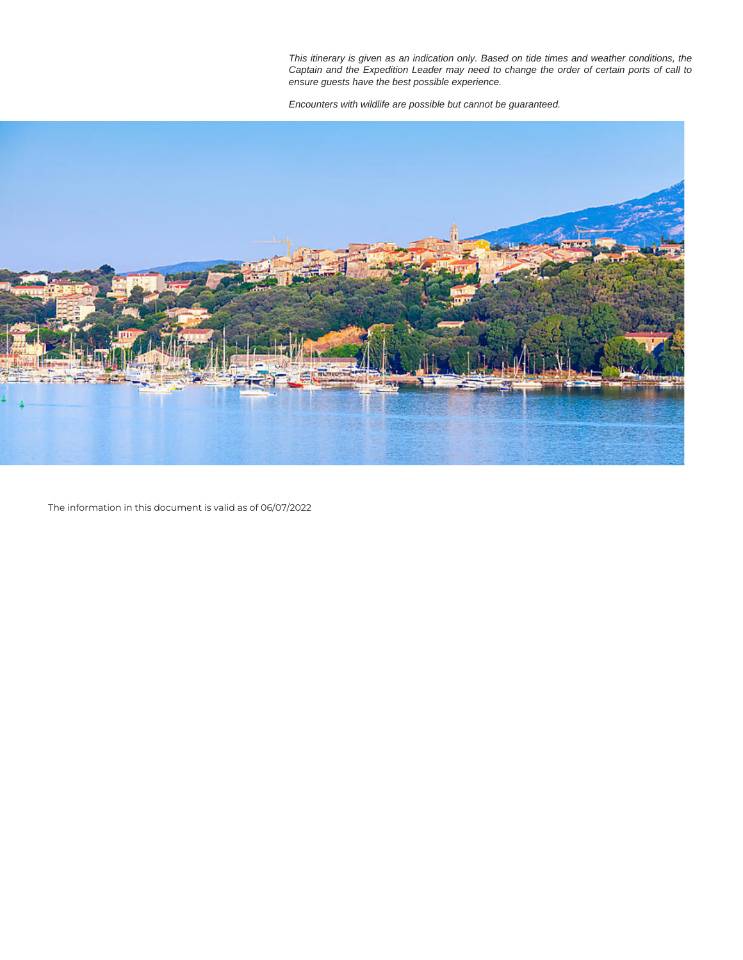This itinerary is given as an indication only. Based on tide times and weather conditions, the Captain and the Expedition Leader may need to change the order of certain ports of call to ensure guests have the best possible experience.

Encounters with wildlife are possible but cannot be guaranteed.



The information in this document is valid as of 06/07/2022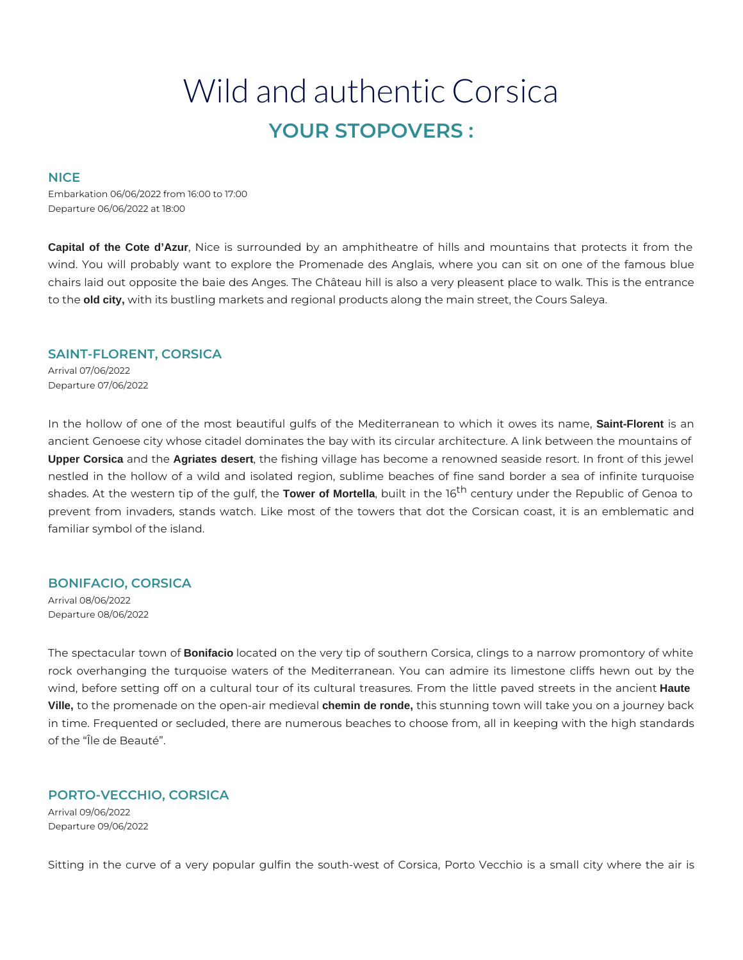# Wild and authentic Corsica **YOUR STOPOVERS :**

# **NICE**

Embarkation 06/06/2022 from 16:00 to 17:00 Departure 06/06/2022 at 18:00

**Capital of the Cote d'Azur**, Nice is surrounded by an amphitheatre of hills and mountains that protects it from the wind. You will probably want to explore the Promenade des Anglais, where you can sit on one of the famous blue chairs laid out opposite the baie des Anges. The Château hill is also a very pleasent place to walk. This is the entrance to the **old city,** with its bustling markets and regional products along the main street, the Cours Saleya.

# **SAINT-FLORENT, CORSICA**

Arrival 07/06/2022 Departure 07/06/2022

In the hollow of one of the most beautiful gulfs of the Mediterranean to which it owes its name, **Saint-Florent** is an ancient Genoese city whose citadel dominates the bay with its circular architecture. A link between the mountains of **Upper Corsica** and the **Agriates desert**, the fishing village has become a renowned seaside resort. In front of this jewel nestled in the hollow of a wild and isolated region, sublime beaches of fine sand border a sea of infinite turquoise shades. At the western tip of the gulf, the Tower of Mortella, built in the 16<sup>th</sup> century under the Republic of Genoa to prevent from invaders, stands watch. Like most of the towers that dot the Corsican coast, it is an emblematic and familiar symbol of the island.

# **BONIFACIO, CORSICA**

Arrival 08/06/2022 Departure 08/06/2022

The spectacular town of **Bonifacio** located on the very tip of southern Corsica, clings to a narrow promontory of white rock overhanging the turquoise waters of the Mediterranean. You can admire its limestone cliffs hewn out by the wind, before setting off on a cultural tour of its cultural treasures. From the little paved streets in the ancient **Haute Ville,** to the promenade on the open-air medieval **chemin de ronde,** this stunning town will take you on a journey back in time. Frequented or secluded, there are numerous beaches to choose from, all in keeping with the high standards of the "Île de Beauté".

# **PORTO-VECCHIO, CORSICA**

Arrival 09/06/2022 Departure 09/06/2022

Sitting in the curve of a very popular gulfin the south-west of Corsica, Porto Vecchio is a small city where the air is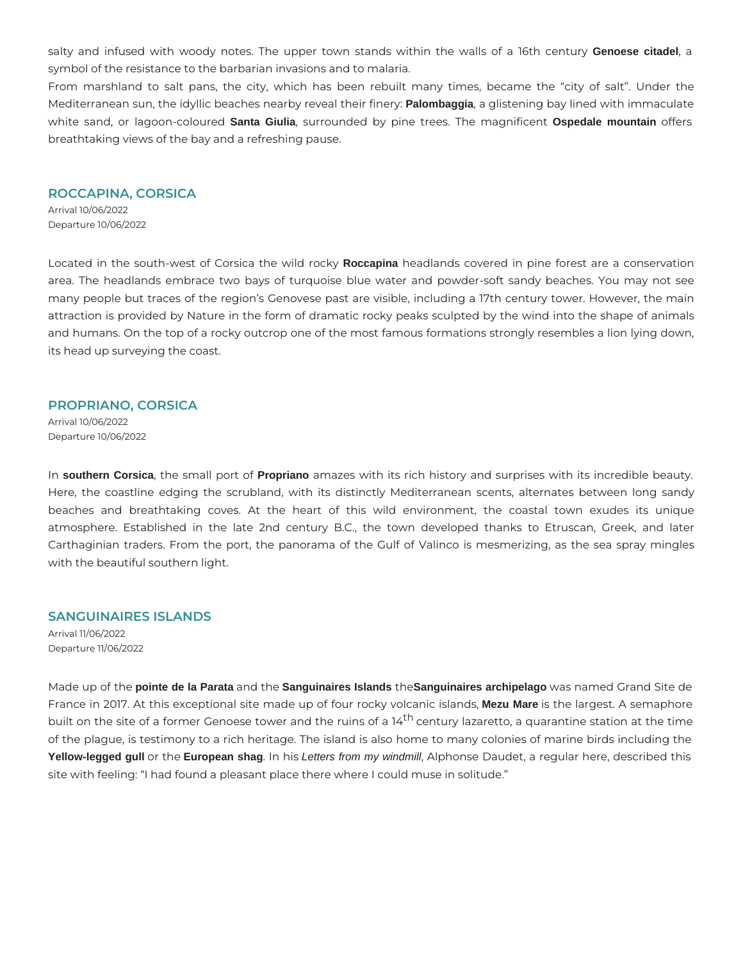salty and infused with woody notes. The upper town stands within the walls of a 16th century **Genoese citadel**, a symbol of the resistance to the barbarian invasions and to malaria.

From marshland to salt pans, the city, which has been rebuilt many times, became the "city of salt". Under the Mediterranean sun, the idyllic beaches nearby reveal their finery: **Palombaggia**, a glistening bay lined with immaculate white sand, or lagoon-coloured **Santa Giulia**, surrounded by pine trees. The magnificent **Ospedale mountain** offers breathtaking views of the bay and a refreshing pause.

#### **ROCCAPINA, CORSICA**

Arrival 10/06/2022 Departure 10/06/2022

Located in the south-west of Corsica the wild rocky **Roccapina** headlands covered in pine forest are a conservation area. The headlands embrace two bays of turquoise blue water and powder-soft sandy beaches. You may not see many people but traces of the region's Genovese past are visible, including a 17th century tower. However, the main attraction is provided by Nature in the form of dramatic rocky peaks sculpted by the wind into the shape of animals and humans. On the top of a rocky outcrop one of the most famous formations strongly resembles a lion lying down, its head up surveying the coast.

# **PROPRIANO, CORSICA**

Arrival 10/06/2022 Departure 10/06/2022

In **southern Corsica**, the small port of **Propriano** amazes with its rich history and surprises with its incredible beauty. Here, the coastline edging the scrubland, with its distinctly Mediterranean scents, alternates between long sandy beaches and breathtaking coves. At the heart of this wild environment, the coastal town exudes its unique atmosphere. Established in the late 2nd century B.C., the town developed thanks to Etruscan, Greek, and later Carthaginian traders. From the port, the panorama of the Gulf of Valinco is mesmerizing, as the sea spray mingles with the beautiful southern light.

# **SANGUINAIRES ISLANDS**

Arrival 11/06/2022 Departure 11/06/2022

Made up of the **pointe de la Parata** and the **Sanguinaires Islands** the**Sanguinaires archipelago** was named Grand Site de France in 2017. At this exceptional site made up of four rocky volcanic islands, **Mezu Mare** is the largest. A semaphore built on the site of a former Genoese tower and the ruins of a 14<sup>th</sup> century lazaretto, a quarantine station at the time of the plague, is testimony to a rich heritage. The island is also home to many colonies of marine birds including the **Yellow-legged gull** or the **European shag**. In his Letters from my windmill, Alphonse Daudet, a regular here, described this site with feeling: "I had found a pleasant place there where I could muse in solitude."